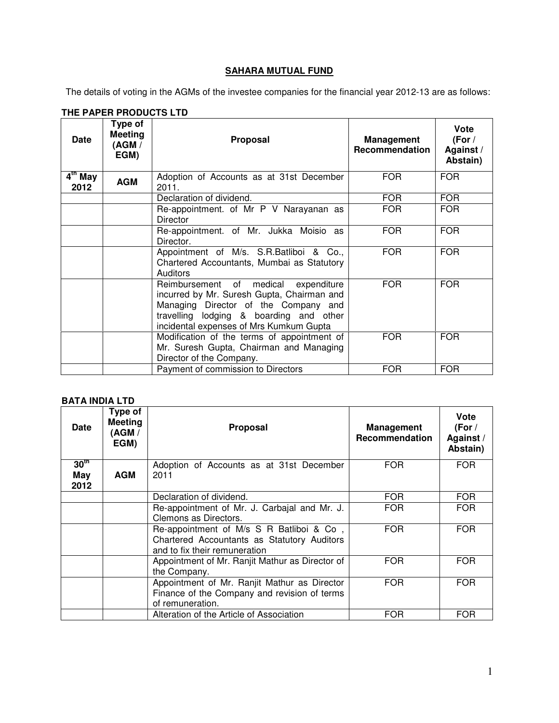### **SAHARA MUTUAL FUND**

The details of voting in the AGMs of the investee companies for the financial year 2012-13 are as follows:

# **THE PAPER PRODUCTS LTD**

| <b>Date</b>                 | Type of<br><b>Meeting</b><br>(AGM /<br>EGM) | <b>Proposal</b>                                                                                                                                                                                                     | Management<br><b>Recommendation</b> | Vote<br>(For $/$<br>Against /<br>Abstain) |
|-----------------------------|---------------------------------------------|---------------------------------------------------------------------------------------------------------------------------------------------------------------------------------------------------------------------|-------------------------------------|-------------------------------------------|
| $4^{\text{th}}$ May<br>2012 | <b>AGM</b>                                  | Adoption of Accounts as at 31st December<br>2011.                                                                                                                                                                   | <b>FOR</b>                          | <b>FOR</b>                                |
|                             |                                             | Declaration of dividend.                                                                                                                                                                                            | <b>FOR</b>                          | <b>FOR</b>                                |
|                             |                                             | Re-appointment. of Mr P V Narayanan as<br><b>Director</b>                                                                                                                                                           | <b>FOR</b>                          | <b>FOR</b>                                |
|                             |                                             | Re-appointment. of Mr. Jukka Moisio as<br>Director.                                                                                                                                                                 | <b>FOR</b>                          | <b>FOR</b>                                |
|                             |                                             | Appointment of M/s. S.R.Batliboi & Co.,<br>Chartered Accountants, Mumbai as Statutory<br><b>Auditors</b>                                                                                                            | <b>FOR</b>                          | <b>FOR</b>                                |
|                             |                                             | Reimbursement of medical<br>expenditure<br>incurred by Mr. Suresh Gupta, Chairman and<br>Managing Director of the Company and<br>travelling lodging & boarding and other<br>incidental expenses of Mrs Kumkum Gupta | <b>FOR</b>                          | <b>FOR</b>                                |
|                             |                                             | Modification of the terms of appointment of<br>Mr. Suresh Gupta, Chairman and Managing<br>Director of the Company.                                                                                                  | <b>FOR</b>                          | <b>FOR</b>                                |
|                             |                                             | Payment of commission to Directors                                                                                                                                                                                  | <b>FOR</b>                          | <b>FOR</b>                                |

### **BATA INDIA LTD**

| <b>Date</b>                     | Type of<br><b>Meeting</b><br>(AGM /<br>EGM) | Proposal                                                                                                                 | <b>Management</b><br><b>Recommendation</b> | Vote<br>(For /<br>Against/<br>Abstain) |
|---------------------------------|---------------------------------------------|--------------------------------------------------------------------------------------------------------------------------|--------------------------------------------|----------------------------------------|
| 30 <sup>th</sup><br>May<br>2012 | <b>AGM</b>                                  | Adoption of Accounts as at 31st December<br>2011                                                                         | <b>FOR</b>                                 | <b>FOR</b>                             |
|                                 |                                             | Declaration of dividend.                                                                                                 | <b>FOR</b>                                 | <b>FOR</b>                             |
|                                 |                                             | Re-appointment of Mr. J. Carbajal and Mr. J.<br>Clemons as Directors.                                                    | <b>FOR</b>                                 | FOR.                                   |
|                                 |                                             | Re-appointment of M/s S R Batliboi & Co,<br>Chartered Accountants as Statutory Auditors<br>and to fix their remuneration | <b>FOR</b>                                 | <b>FOR</b>                             |
|                                 |                                             | Appointment of Mr. Ranjit Mathur as Director of<br>the Company.                                                          | <b>FOR</b>                                 | <b>FOR</b>                             |
|                                 |                                             | Appointment of Mr. Ranjit Mathur as Director<br>Finance of the Company and revision of terms<br>of remuneration.         | <b>FOR</b>                                 | <b>FOR</b>                             |
|                                 |                                             | Alteration of the Article of Association                                                                                 | <b>FOR</b>                                 | <b>FOR</b>                             |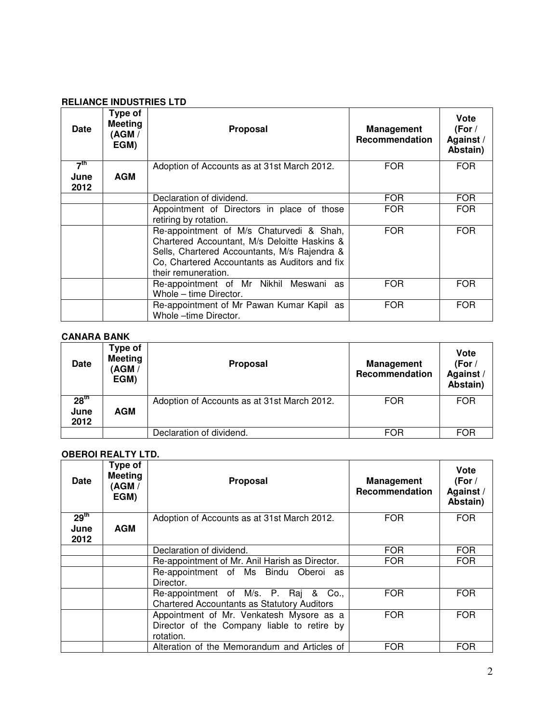#### **RELIANCE INDUSTRIES LTD**

| <b>Date</b>                     | Type of<br><b>Meeting</b><br>(AGM /<br>EGM) | Proposal                                                                                                                                                                                                         | <b>Management</b><br>Recommendation | Vote<br>(For $/$<br>Against/<br>Abstain) |
|---------------------------------|---------------------------------------------|------------------------------------------------------------------------------------------------------------------------------------------------------------------------------------------------------------------|-------------------------------------|------------------------------------------|
| 7 <sup>th</sup><br>June<br>2012 | <b>AGM</b>                                  | Adoption of Accounts as at 31st March 2012.                                                                                                                                                                      | <b>FOR</b>                          | <b>FOR</b>                               |
|                                 |                                             | Declaration of dividend.                                                                                                                                                                                         | <b>FOR</b>                          | <b>FOR</b>                               |
|                                 |                                             | Appointment of Directors in place of those<br>retiring by rotation.                                                                                                                                              | <b>FOR</b>                          | <b>FOR</b>                               |
|                                 |                                             | Re-appointment of M/s Chaturvedi & Shah,<br>Chartered Accountant, M/s Deloitte Haskins &<br>Sells, Chartered Accountants, M/s Rajendra &<br>Co, Chartered Accountants as Auditors and fix<br>their remuneration. | <b>FOR</b>                          | <b>FOR</b>                               |
|                                 |                                             | Re-appointment of Mr Nikhil<br>Meswani as<br>Whole – time Director.                                                                                                                                              | FOR.                                | <b>FOR</b>                               |
|                                 |                                             | Re-appointment of Mr Pawan Kumar Kapil as<br>Whole -time Director.                                                                                                                                               | <b>FOR</b>                          | <b>FOR</b>                               |

## **CANARA BANK**

| Date                             | Type of<br><b>Meeting</b><br>(AGM /<br>EGM) | <b>Proposal</b>                             | <b>Management</b><br>Recommendation | <b>Vote</b><br>(For $/$<br>Against /<br>Abstain) |
|----------------------------------|---------------------------------------------|---------------------------------------------|-------------------------------------|--------------------------------------------------|
| 28 <sup>th</sup><br>June<br>2012 | <b>AGM</b>                                  | Adoption of Accounts as at 31st March 2012. | <b>FOR</b>                          | <b>FOR</b>                                       |
|                                  |                                             | Declaration of dividend.                    | FOR                                 | <b>FOR</b>                                       |

## **OBEROI REALTY LTD.**

| <b>Date</b>                      | Type of<br><b>Meeting</b><br>(AGM /<br>EGM) | Proposal                                                                                             | Management<br>Recommendation | Vote<br>(For /<br>Against/<br>Abstain) |
|----------------------------------|---------------------------------------------|------------------------------------------------------------------------------------------------------|------------------------------|----------------------------------------|
| 29 <sup>tn</sup><br>June<br>2012 | <b>AGM</b>                                  | Adoption of Accounts as at 31st March 2012.                                                          | <b>FOR</b>                   | <b>FOR</b>                             |
|                                  |                                             | Declaration of dividend.                                                                             | <b>FOR</b>                   | <b>FOR</b>                             |
|                                  |                                             | Re-appointment of Mr. Anil Harish as Director.                                                       | <b>FOR</b>                   | <b>FOR</b>                             |
|                                  |                                             | Re-appointment of Ms Bindu Oberoi as<br>Director.                                                    |                              |                                        |
|                                  |                                             | Re-appointment of M/s. P. Raj & Co.,<br><b>Chartered Accountants as Statutory Auditors</b>           | <b>FOR</b>                   | <b>FOR</b>                             |
|                                  |                                             | Appointment of Mr. Venkatesh Mysore as a<br>Director of the Company liable to retire by<br>rotation. | <b>FOR</b>                   | <b>FOR</b>                             |
|                                  |                                             | Alteration of the Memorandum and Articles of                                                         | <b>FOR</b>                   | <b>FOR</b>                             |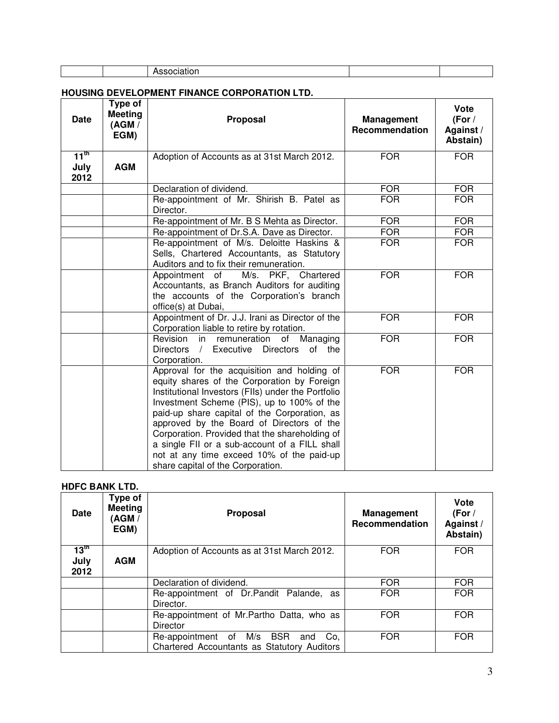### **HOUSING DEVELOPMENT FINANCE CORPORATION LTD.**

| <b>Date</b>                      | Type of<br><b>Meeting</b><br>(AGM /<br>EGM) | Proposal                                                                                                                                                                                                                                                                                                                                                                                                                                                                         | <b>Management</b><br>Recommendation | Vote<br>(For $/$<br>Against /<br>Abstain) |
|----------------------------------|---------------------------------------------|----------------------------------------------------------------------------------------------------------------------------------------------------------------------------------------------------------------------------------------------------------------------------------------------------------------------------------------------------------------------------------------------------------------------------------------------------------------------------------|-------------------------------------|-------------------------------------------|
| $11^{\text{th}}$<br>July<br>2012 | <b>AGM</b>                                  | Adoption of Accounts as at 31st March 2012.                                                                                                                                                                                                                                                                                                                                                                                                                                      | <b>FOR</b>                          | <b>FOR</b>                                |
|                                  |                                             | Declaration of dividend.                                                                                                                                                                                                                                                                                                                                                                                                                                                         | <b>FOR</b>                          | <b>FOR</b>                                |
|                                  |                                             | Re-appointment of Mr. Shirish B. Patel as<br>Director.                                                                                                                                                                                                                                                                                                                                                                                                                           | <b>FOR</b>                          | <b>FOR</b>                                |
|                                  |                                             | Re-appointment of Mr. B S Mehta as Director.                                                                                                                                                                                                                                                                                                                                                                                                                                     | <b>FOR</b>                          | <b>FOR</b>                                |
|                                  |                                             | Re-appointment of Dr.S.A. Dave as Director.                                                                                                                                                                                                                                                                                                                                                                                                                                      | <b>FOR</b>                          | <b>FOR</b>                                |
|                                  |                                             | Re-appointment of M/s. Deloitte Haskins &<br>Sells, Chartered Accountants, as Statutory<br>Auditors and to fix their remuneration.                                                                                                                                                                                                                                                                                                                                               | <b>FOR</b>                          | <b>FOR</b>                                |
|                                  |                                             | Appointment of<br>M/s. PKF, Chartered<br>Accountants, as Branch Auditors for auditing<br>the accounts of the Corporation's branch<br>office(s) at Dubai,                                                                                                                                                                                                                                                                                                                         | <b>FOR</b>                          | <b>FOR</b>                                |
|                                  |                                             | Appointment of Dr. J.J. Irani as Director of the<br>Corporation liable to retire by rotation.                                                                                                                                                                                                                                                                                                                                                                                    | <b>FOR</b>                          | <b>FOR</b>                                |
|                                  |                                             | Revision<br>remuneration<br>Managing<br>of<br>in<br>Directors / Executive Directors<br>of the<br>Corporation.                                                                                                                                                                                                                                                                                                                                                                    | <b>FOR</b>                          | <b>FOR</b>                                |
|                                  |                                             | Approval for the acquisition and holding of<br>equity shares of the Corporation by Foreign<br>Institutional Investors (FIIs) under the Portfolio<br>Investment Scheme (PIS), up to 100% of the<br>paid-up share capital of the Corporation, as<br>approved by the Board of Directors of the<br>Corporation. Provided that the shareholding of<br>a single FII or a sub-account of a FILL shall<br>not at any time exceed 10% of the paid-up<br>share capital of the Corporation. | <b>FOR</b>                          | <b>FOR</b>                                |

# **HDFC BANK LTD.**

| <b>Date</b>                      | Type of<br><b>Meeting</b><br>(AGM /<br>EGM) | <b>Proposal</b>                                                                        | <b>Management</b><br>Recommendation | Vote<br>(For $/$<br>Against /<br>Abstain) |
|----------------------------------|---------------------------------------------|----------------------------------------------------------------------------------------|-------------------------------------|-------------------------------------------|
| $13^{\text{th}}$<br>July<br>2012 | <b>AGM</b>                                  | Adoption of Accounts as at 31st March 2012.                                            | <b>FOR</b>                          | <b>FOR</b>                                |
|                                  |                                             | Declaration of dividend.                                                               | <b>FOR</b>                          | FOR.                                      |
|                                  |                                             | Re-appointment of Dr.Pandit Palande, as<br>Director.                                   | <b>FOR</b>                          | <b>FOR</b>                                |
|                                  |                                             | Re-appointment of Mr. Partho Datta, who as<br><b>Director</b>                          | <b>FOR</b>                          | <b>FOR</b>                                |
|                                  |                                             | Re-appointment of M/s BSR<br>Co.<br>and<br>Chartered Accountants as Statutory Auditors | <b>FOR</b>                          | <b>FOR</b>                                |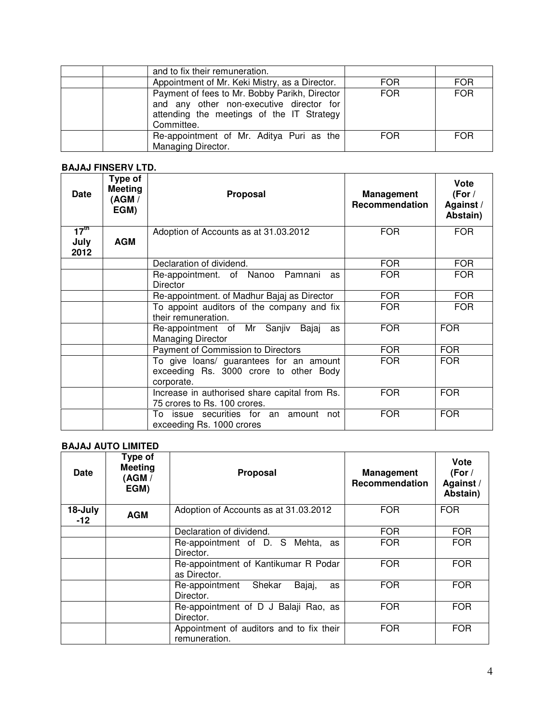| and to fix their remuneration.                                                                                                                       |            |            |
|------------------------------------------------------------------------------------------------------------------------------------------------------|------------|------------|
| Appointment of Mr. Keki Mistry, as a Director.                                                                                                       | <b>FOR</b> | <b>FOR</b> |
| Payment of fees to Mr. Bobby Parikh, Director<br>and any other non-executive director for<br>attending the meetings of the IT Strategy<br>Committee. | FOR.       | <b>FOR</b> |
| Re-appointment of Mr. Aditya Puri as the<br>Managing Director.                                                                                       | FOR.       | <b>FOR</b> |

#### **BAJAJ FINSERV LTD.**

| Date                             | Type of<br><b>Meeting</b><br>(AGM /<br>EGM) | Proposal                                                                                        | <b>Management</b><br>Recommendation | Vote<br>(For $/$<br>Against /<br>Abstain) |
|----------------------------------|---------------------------------------------|-------------------------------------------------------------------------------------------------|-------------------------------------|-------------------------------------------|
| $17^{\text{th}}$<br>July<br>2012 | <b>AGM</b>                                  | Adoption of Accounts as at 31.03.2012                                                           | <b>FOR</b>                          | <b>FOR</b>                                |
|                                  |                                             | Declaration of dividend.                                                                        | <b>FOR</b>                          | <b>FOR</b>                                |
|                                  |                                             | Re-appointment. of Nanoo Pamnani<br>as<br><b>Director</b>                                       | FOR                                 | FOR                                       |
|                                  |                                             | Re-appointment. of Madhur Bajaj as Director                                                     | <b>FOR</b>                          | <b>FOR</b>                                |
|                                  |                                             | To appoint auditors of the company and fix<br>their remuneration.                               | <b>FOR</b>                          | <b>FOR</b>                                |
|                                  |                                             | Re-appointment of Mr Sanjiv Bajaj<br>as<br><b>Managing Director</b>                             | <b>FOR</b>                          | <b>FOR</b>                                |
|                                  |                                             | Payment of Commission to Directors                                                              | <b>FOR</b>                          | <b>FOR</b>                                |
|                                  |                                             | To give loans/ guarantees for an amount<br>exceeding Rs. 3000 crore to other Body<br>corporate. | FOR                                 | <b>FOR</b>                                |
|                                  |                                             | Increase in authorised share capital from Rs.<br>75 crores to Rs. 100 crores.                   | <b>FOR</b>                          | <b>FOR</b>                                |
|                                  |                                             | To issue securities for an amount not<br>exceeding Rs. 1000 crores                              | <b>FOR</b>                          | <b>FOR</b>                                |

### **BAJAJ AUTO LIMITED**

| <b>Date</b>      | Type of<br><b>Meeting</b><br>(AGM /<br>EGM) | Proposal                                                  | <b>Management</b><br>Recommendation | Vote<br>(For $/$<br>Against /<br>Abstain) |
|------------------|---------------------------------------------|-----------------------------------------------------------|-------------------------------------|-------------------------------------------|
| 18-July<br>$-12$ | <b>AGM</b>                                  | Adoption of Accounts as at 31.03.2012                     | FOR.                                | <b>FOR</b>                                |
|                  |                                             | Declaration of dividend.                                  | <b>FOR</b>                          | <b>FOR</b>                                |
|                  |                                             | Re-appointment of D. S Mehta, as<br>Director.             | <b>FOR</b>                          | <b>FOR</b>                                |
|                  |                                             | Re-appointment of Kantikumar R Podar<br>as Director.      | <b>FOR</b>                          | <b>FOR</b>                                |
|                  |                                             | Re-appointment Shekar<br>Bajaj,<br>as<br>Director.        | <b>FOR</b>                          | <b>FOR</b>                                |
|                  |                                             | Re-appointment of D J Balaji Rao, as<br>Director.         | <b>FOR</b>                          | <b>FOR</b>                                |
|                  |                                             | Appointment of auditors and to fix their<br>remuneration. | <b>FOR</b>                          | <b>FOR</b>                                |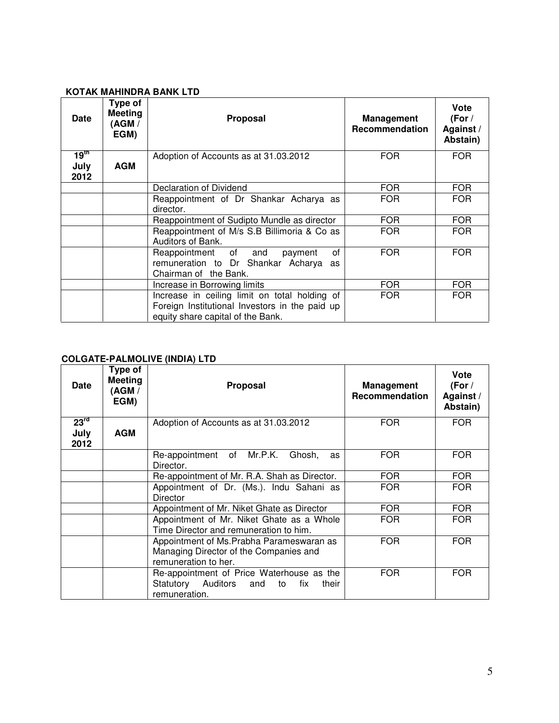| <b>Date</b>                      | Type of<br><b>Meeting</b><br>(AGM /<br>EGM) | <b>Proposal</b>                                                                                                                      | <b>Management</b><br>Recommendation | Vote<br>(For $/$<br>Against /<br>Abstain) |
|----------------------------------|---------------------------------------------|--------------------------------------------------------------------------------------------------------------------------------------|-------------------------------------|-------------------------------------------|
| 19 <sup>th</sup><br>July<br>2012 | <b>AGM</b>                                  | Adoption of Accounts as at 31.03.2012                                                                                                | <b>FOR</b>                          | <b>FOR</b>                                |
|                                  |                                             | Declaration of Dividend                                                                                                              | <b>FOR</b>                          | <b>FOR</b>                                |
|                                  |                                             | Reappointment of Dr Shankar Acharya as<br>director.                                                                                  | <b>FOR</b>                          | <b>FOR</b>                                |
|                                  |                                             | Reappointment of Sudipto Mundle as director                                                                                          | <b>FOR</b>                          | <b>FOR</b>                                |
|                                  |                                             | Reappointment of M/s S.B Billimoria & Co as<br>Auditors of Bank.                                                                     | <b>FOR</b>                          | <b>FOR</b>                                |
|                                  |                                             | of<br>Reappointment of and<br>payment<br>remuneration to Dr Shankar Acharya<br>as<br>Chairman of the Bank.                           | <b>FOR</b>                          | <b>FOR</b>                                |
|                                  |                                             | Increase in Borrowing limits                                                                                                         | <b>FOR</b>                          | <b>FOR</b>                                |
|                                  |                                             | Increase in ceiling limit on total holding of<br>Foreign Institutional Investors in the paid up<br>equity share capital of the Bank. | <b>FOR</b>                          | <b>FOR</b>                                |

## **KOTAK MAHINDRA BANK LTD**

## **COLGATE-PALMOLIVE (INDIA) LTD**

| <b>Date</b>                      | Type of<br><b>Meeting</b><br>(AGM /<br>EGM) | <b>Proposal</b>                                                                                               | <b>Management</b><br><b>Recommendation</b> | Vote<br>(For $/$<br>Against /<br>Abstain) |
|----------------------------------|---------------------------------------------|---------------------------------------------------------------------------------------------------------------|--------------------------------------------|-------------------------------------------|
| 23 <sup>rd</sup><br>July<br>2012 | <b>AGM</b>                                  | Adoption of Accounts as at 31.03.2012                                                                         | <b>FOR</b>                                 | <b>FOR</b>                                |
|                                  |                                             | Mr.P.K.<br>Re-appointment of<br>Ghosh,<br>as<br>Director.                                                     | FOR                                        | <b>FOR</b>                                |
|                                  |                                             | Re-appointment of Mr. R.A. Shah as Director.                                                                  | <b>FOR</b>                                 | <b>FOR</b>                                |
|                                  |                                             | Appointment of Dr. (Ms.). Indu Sahani as<br>Director                                                          | <b>FOR</b>                                 | <b>FOR</b>                                |
|                                  |                                             | Appointment of Mr. Niket Ghate as Director                                                                    | FOR                                        | <b>FOR</b>                                |
|                                  |                                             | Appointment of Mr. Niket Ghate as a Whole<br>Time Director and remuneration to him.                           | <b>FOR</b>                                 | <b>FOR</b>                                |
|                                  |                                             | Appointment of Ms. Prabha Parameswaran as<br>Managing Director of the Companies and<br>remuneration to her.   | <b>FOR</b>                                 | <b>FOR</b>                                |
|                                  |                                             | Re-appointment of Price Waterhouse as the<br>Statutory<br>Auditors and<br>to<br>fix<br>their<br>remuneration. | <b>FOR</b>                                 | <b>FOR</b>                                |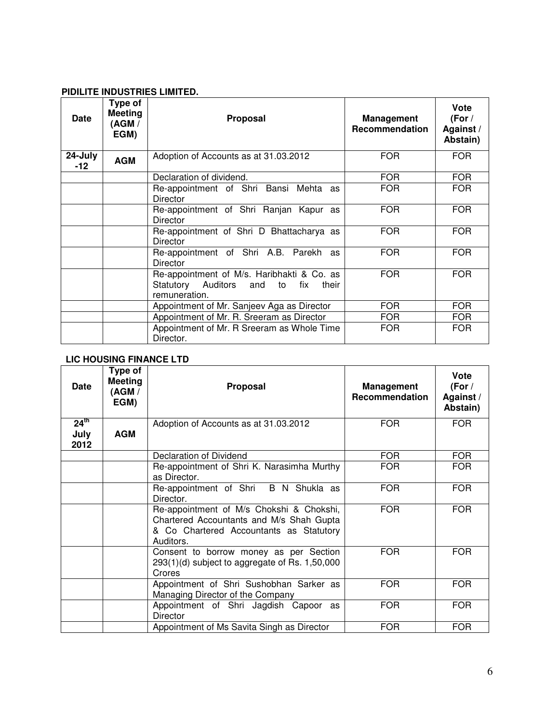| PIDILITE INDUSTRIES LIMITED. |
|------------------------------|
|------------------------------|

| <b>Date</b>      | Type of<br><b>Meeting</b><br>(AGM /<br>EGM) | Proposal                                                                                                    | <b>Management</b><br>Recommendation | Vote<br>(For $/$<br>Against /<br>Abstain) |
|------------------|---------------------------------------------|-------------------------------------------------------------------------------------------------------------|-------------------------------------|-------------------------------------------|
| 24-July<br>$-12$ | <b>AGM</b>                                  | Adoption of Accounts as at 31.03.2012                                                                       | FOR.                                | <b>FOR</b>                                |
|                  |                                             | Declaration of dividend.                                                                                    | <b>FOR</b>                          | <b>FOR</b>                                |
|                  |                                             | Re-appointment of Shri Bansi Mehta as<br><b>Director</b>                                                    | <b>FOR</b>                          | <b>FOR</b>                                |
|                  |                                             | Re-appointment of Shri Ranjan Kapur as<br><b>Director</b>                                                   | <b>FOR</b>                          | <b>FOR</b>                                |
|                  |                                             | Re-appointment of Shri D Bhattacharya as<br><b>Director</b>                                                 | <b>FOR</b>                          | <b>FOR</b>                                |
|                  |                                             | Re-appointment of Shri A.B. Parekh as<br><b>Director</b>                                                    | <b>FOR</b>                          | <b>FOR</b>                                |
|                  |                                             | Re-appointment of M/s. Haribhakti & Co. as<br>Statutory Auditors and<br>to<br>fix<br>their<br>remuneration. | <b>FOR</b>                          | <b>FOR</b>                                |
|                  |                                             | Appointment of Mr. Sanjeev Aga as Director                                                                  | FOR.                                | <b>FOR</b>                                |
|                  |                                             | Appointment of Mr. R. Sreeram as Director                                                                   | FOR                                 | <b>FOR</b>                                |
|                  |                                             | Appointment of Mr. R Sreeram as Whole Time<br>Director.                                                     | <b>FOR</b>                          | <b>FOR</b>                                |

# **LIC HOUSING FINANCE LTD**

| <b>Date</b>                      | Type of<br><b>Meeting</b><br>(AGM /<br>EGM) | <b>Proposal</b>                                                                                                                              | <b>Management</b><br>Recommendation | <b>Vote</b><br>(For $/$<br>Against /<br>Abstain) |
|----------------------------------|---------------------------------------------|----------------------------------------------------------------------------------------------------------------------------------------------|-------------------------------------|--------------------------------------------------|
| $24^{\text{th}}$<br>July<br>2012 | <b>AGM</b>                                  | Adoption of Accounts as at 31.03.2012                                                                                                        | <b>FOR</b>                          | <b>FOR</b>                                       |
|                                  |                                             | Declaration of Dividend                                                                                                                      | <b>FOR</b>                          | <b>FOR</b>                                       |
|                                  |                                             | Re-appointment of Shri K. Narasimha Murthy<br>as Director.                                                                                   | <b>FOR</b>                          | <b>FOR</b>                                       |
|                                  |                                             | Re-appointment of Shri B N Shukla as<br>Director.                                                                                            | <b>FOR</b>                          | <b>FOR</b>                                       |
|                                  |                                             | Re-appointment of M/s Chokshi & Chokshi,<br>Chartered Accountants and M/s Shah Gupta<br>& Co Chartered Accountants as Statutory<br>Auditors. | <b>FOR</b>                          | <b>FOR</b>                                       |
|                                  |                                             | Consent to borrow money as per Section<br>$293(1)(d)$ subject to aggregate of Rs. 1,50,000<br>Crores                                         | <b>FOR</b>                          | <b>FOR</b>                                       |
|                                  |                                             | Appointment of Shri Sushobhan Sarker as<br>Managing Director of the Company                                                                  | <b>FOR</b>                          | <b>FOR</b>                                       |
|                                  |                                             | Appointment of Shri Jagdish Capoor<br>as<br><b>Director</b>                                                                                  | <b>FOR</b>                          | <b>FOR</b>                                       |
|                                  |                                             | Appointment of Ms Savita Singh as Director                                                                                                   | <b>FOR</b>                          | <b>FOR</b>                                       |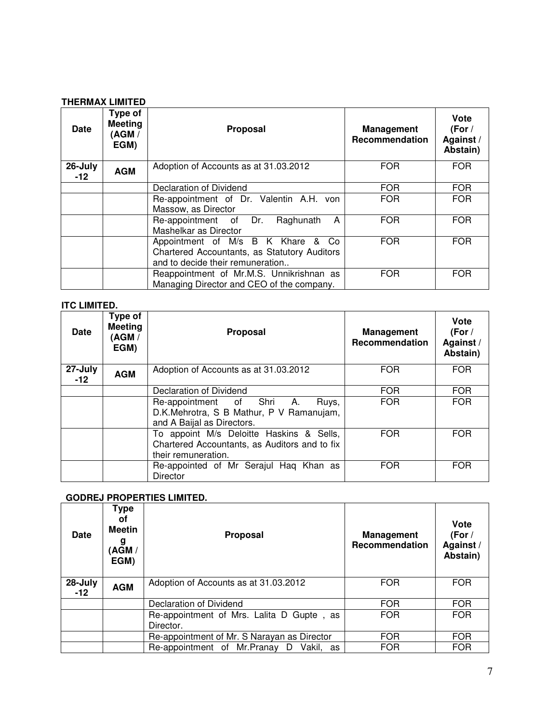### **THERMAX LIMITED**

| <b>Date</b>      | Type of<br><b>Meeting</b><br>(AGM /<br>EGM) | <b>Proposal</b>                                                                                                       | Management<br>Recommendation | Vote<br>(For $/$<br>Against /<br>Abstain) |
|------------------|---------------------------------------------|-----------------------------------------------------------------------------------------------------------------------|------------------------------|-------------------------------------------|
| 26-July<br>$-12$ | <b>AGM</b>                                  | Adoption of Accounts as at 31.03.2012                                                                                 | <b>FOR</b>                   | <b>FOR</b>                                |
|                  |                                             | Declaration of Dividend                                                                                               | <b>FOR</b>                   | <b>FOR</b>                                |
|                  |                                             | Re-appointment of Dr. Valentin A.H. von<br>Massow, as Director                                                        | <b>FOR</b>                   | <b>FOR</b>                                |
|                  |                                             | Re-appointment of Dr.<br>Raghunath<br>A<br>Mashelkar as Director                                                      | <b>FOR</b>                   | <b>FOR</b>                                |
|                  |                                             | Appointment of M/s B K Khare & Co<br>Chartered Accountants, as Statutory Auditors<br>and to decide their remuneration | <b>FOR</b>                   | <b>FOR</b>                                |
|                  |                                             | Reappointment of Mr.M.S. Unnikrishnan as<br>Managing Director and CEO of the company.                                 | <b>FOR</b>                   | <b>FOR</b>                                |

### **ITC LIMITED.**

| <b>Date</b>      | Type of<br><b>Meeting</b><br>(AGM /<br>EGM) | <b>Proposal</b>                                                                                                  | <b>Management</b><br><b>Recommendation</b> | Vote<br>(For $/$<br>Against/<br>Abstain) |
|------------------|---------------------------------------------|------------------------------------------------------------------------------------------------------------------|--------------------------------------------|------------------------------------------|
| 27-July<br>$-12$ | <b>AGM</b>                                  | Adoption of Accounts as at 31.03.2012                                                                            | <b>FOR</b>                                 | <b>FOR</b>                               |
|                  |                                             | Declaration of Dividend                                                                                          | <b>FOR</b>                                 | <b>FOR</b>                               |
|                  |                                             | Re-appointment of Shri A.<br>Ruys,<br>D.K.Mehrotra, S B Mathur, P V Ramanujam,<br>and A Baijal as Directors.     | FOR.                                       | <b>FOR</b>                               |
|                  |                                             | To appoint M/s Deloitte Haskins & Sells,<br>Chartered Accountants, as Auditors and to fix<br>their remuneration. | <b>FOR</b>                                 | <b>FOR</b>                               |
|                  |                                             | Re-appointed of Mr Serajul Hag Khan as<br>Director                                                               | <b>FOR</b>                                 | <b>FOR</b>                               |

#### **GODREJ PROPERTIES LIMITED.**

| <b>Date</b>    | Type<br>οf<br><b>Meetin</b><br>g<br>AGM /<br>EGM) | <b>Proposal</b>                                        | <b>Management</b><br>Recommendation | Vote<br>(For $/$<br>Against/<br>Abstain) |
|----------------|---------------------------------------------------|--------------------------------------------------------|-------------------------------------|------------------------------------------|
| 28-July<br>-12 | <b>AGM</b>                                        | Adoption of Accounts as at 31.03.2012                  | <b>FOR</b>                          | <b>FOR</b>                               |
|                |                                                   | Declaration of Dividend                                | FOR.                                | <b>FOR</b>                               |
|                |                                                   | Re-appointment of Mrs. Lalita D Gupte, as<br>Director. | <b>FOR</b>                          | <b>FOR</b>                               |
|                |                                                   | Re-appointment of Mr. S Narayan as Director            | <b>FOR</b>                          | <b>FOR</b>                               |
|                |                                                   | Re-appointment of Mr.Pranay<br>Vakil,<br>D<br>as       | <b>FOR</b>                          | <b>FOR</b>                               |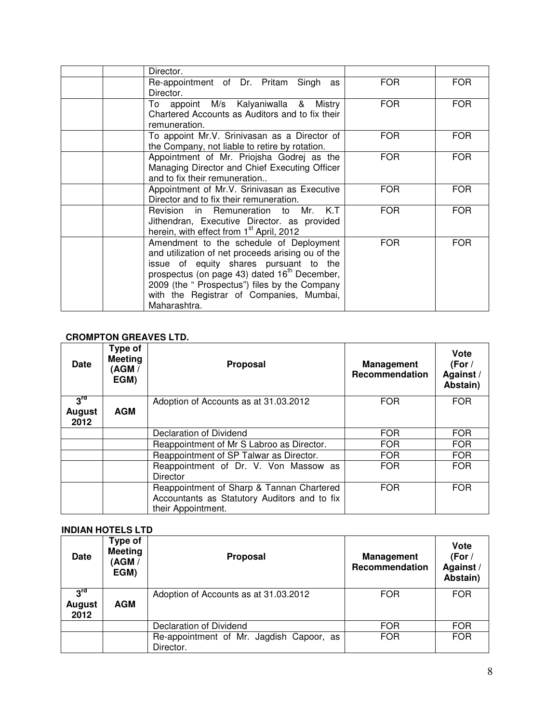| Director.                                                                                                                                                                                                                                                                                                      |            |            |
|----------------------------------------------------------------------------------------------------------------------------------------------------------------------------------------------------------------------------------------------------------------------------------------------------------------|------------|------------|
| Re-appointment of Dr. Pritam Singh as<br>Director.                                                                                                                                                                                                                                                             | FOR.       | <b>FOR</b> |
| To appoint M/s Kalyaniwalla & Mistry<br>Chartered Accounts as Auditors and to fix their<br>remuneration.                                                                                                                                                                                                       | FOR.       | <b>FOR</b> |
| To appoint Mr.V. Srinivasan as a Director of<br>the Company, not liable to retire by rotation.                                                                                                                                                                                                                 | FOR.       | <b>FOR</b> |
| Appointment of Mr. Priojsha Godrej as the<br>Managing Director and Chief Executing Officer<br>and to fix their remuneration                                                                                                                                                                                    | <b>FOR</b> | <b>FOR</b> |
| Appointment of Mr.V. Srinivasan as Executive<br>Director and to fix their remuneration.                                                                                                                                                                                                                        | <b>FOR</b> | <b>FOR</b> |
| Revision in Remuneration to Mr. K.T<br>Jithendran, Executive Director. as provided<br>herein, with effect from 1 <sup>st</sup> April, 2012                                                                                                                                                                     | <b>FOR</b> | <b>FOR</b> |
| Amendment to the schedule of Deployment<br>and utilization of net proceeds arising ou of the<br>issue of equity shares pursuant to the<br>prospectus (on page 43) dated 16 <sup>th</sup> December,<br>2009 (the "Prospectus") files by the Company<br>with the Registrar of Companies, Mumbai,<br>Maharashtra. | <b>FOR</b> | <b>FOR</b> |

### **CROMPTON GREAVES LTD.**

| <b>Date</b>                              | Type of<br><b>Meeting</b><br>(AGM /<br>EGM) | <b>Proposal</b>                                                                                                 | <b>Management</b><br>Recommendation | Vote<br>(For $/$<br>Against /<br>Abstain) |
|------------------------------------------|---------------------------------------------|-----------------------------------------------------------------------------------------------------------------|-------------------------------------|-------------------------------------------|
| $3^{\text{rd}}$<br><b>August</b><br>2012 | <b>AGM</b>                                  | Adoption of Accounts as at 31.03.2012                                                                           | <b>FOR</b>                          | <b>FOR</b>                                |
|                                          |                                             | Declaration of Dividend                                                                                         | <b>FOR</b>                          | <b>FOR</b>                                |
|                                          |                                             | Reappointment of Mr S Labroo as Director.                                                                       | <b>FOR</b>                          | <b>FOR</b>                                |
|                                          |                                             | Reappointment of SP Talwar as Director.                                                                         | <b>FOR</b>                          | <b>FOR</b>                                |
|                                          |                                             | Reappointment of Dr. V. Von Massow as<br>Director                                                               | <b>FOR</b>                          | <b>FOR</b>                                |
|                                          |                                             | Reappointment of Sharp & Tannan Chartered<br>Accountants as Statutory Auditors and to fix<br>their Appointment. | <b>FOR</b>                          | <b>FOR</b>                                |

## **INDIAN HOTELS LTD**

| <b>Date</b>     | Type of<br><b>Meeting</b><br>(AGM /<br>EGM) | <b>Proposal</b>                          | <b>Management</b><br>Recommendation | <b>Vote</b><br>(For $/$<br>Against/<br>Abstain) |
|-----------------|---------------------------------------------|------------------------------------------|-------------------------------------|-------------------------------------------------|
| 3 <sup>rd</sup> |                                             | Adoption of Accounts as at 31.03.2012    | <b>FOR</b>                          | <b>FOR</b>                                      |
| August<br>2012  | <b>AGM</b>                                  |                                          |                                     |                                                 |
|                 |                                             | Declaration of Dividend                  | <b>FOR</b>                          | <b>FOR</b>                                      |
|                 |                                             | Re-appointment of Mr. Jagdish Capoor, as | <b>FOR</b>                          | <b>FOR</b>                                      |
|                 |                                             | Director.                                |                                     |                                                 |